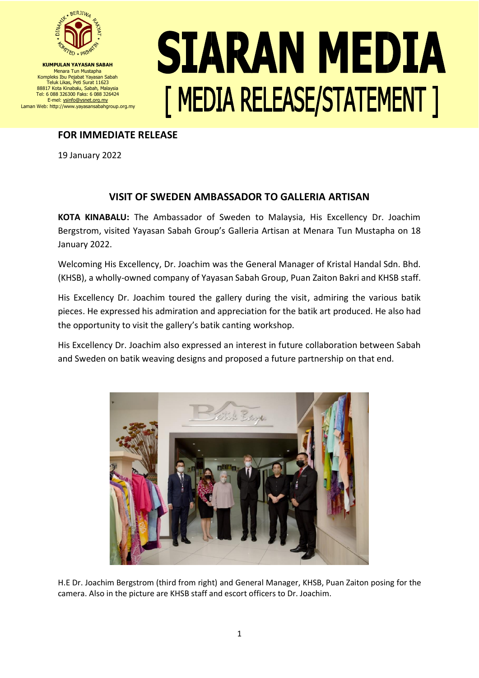

**KUMPULAN YAYASAN SABAH** Menara Tun Mustapha Kompleks Ibu Pejabat Yayasan Sabah Teluk Likas, Peti Surat 11623 88817 Kota Kinabalu, Sabah, Malaysia Tel: 6 088 326300 Faks: 6 088 326424 E-mel: ysinfo@ysnet.org.my Laman Web: http://www.yayasansabahgroup.org.my

## **SIARAN MEDIA [ MEDIA RELEASE/STATEMENT ]**

## **FOR IMMEDIATE RELEASE**

19 January 2022

## **VISIT OF SWEDEN AMBASSADOR TO GALLERIA ARTISAN**

**KOTA KINABALU:** The Ambassador of Sweden to Malaysia, His Excellency Dr. Joachim Bergstrom, visited Yayasan Sabah Group's Galleria Artisan at Menara Tun Mustapha on 18 January 2022.

Welcoming His Excellency, Dr. Joachim was the General Manager of Kristal Handal Sdn. Bhd. (KHSB), a wholly-owned company of Yayasan Sabah Group, Puan Zaiton Bakri and KHSB staff.

His Excellency Dr. Joachim toured the gallery during the visit, admiring the various batik pieces. He expressed his admiration and appreciation for the batik art produced. He also had the opportunity to visit the gallery's batik canting workshop.

His Excellency Dr. Joachim also expressed an interest in future collaboration between Sabah and Sweden on batik weaving designs and proposed a future partnership on that end.



H.E Dr. Joachim Bergstrom (third from right) and General Manager, KHSB, Puan Zaiton posing for the camera. Also in the picture are KHSB staff and escort officers to Dr. Joachim.